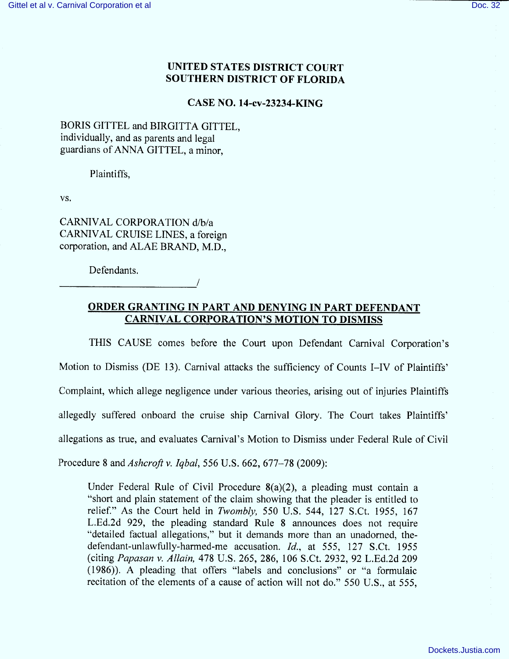# UNITED STATES DISTRICT COURT SOUTHERN DISTRICT OF FLORIDA

## CASE NO. 14-cv-23234-KING

# BORIS GITTEL and BIRGITTA GITTEL, individually, and as parents and legal guardians of ANNA GITTEL, a minor,

Plaintiffs,

VS.

CARNIVAL CORPORATION d/b/a CARNIVAL CRUISE LINES, a foreign corporation, and ALAE BRAND, M.D.,

Defendants.

# ORDER GRANTING IN PART AND DENYING IN PART DEFENDANT CARNIVAL CORPORATION'S MOTION TO DISMISS

/

THIS CAUSE comes before the Court upon Defendant Carnival Corporation's Motion to Dismiss (DE 13). Carnival attacks the sufficiency of Counts 1-1V of Plaintiffs' 'Complaint, which allege negligence under various theories, arising out of injuries Plaintiffs allegedly suffered onboard the cruise ship Carnival Glory. The Court takes Plaintiffs' allegations as true, and evaluates Carnival's Motion to Dismiss under Federal Rule of Civil Procedure 8 and Ashcroft v. Iqbal, 556 U.S. 662, 677-78 (2009):

Under Federal Rule of Civil Procedure 8(a)(2), a pleading must contain a "short and plain statement of the claim showing that the pleader is entitled to relief." As the Court held in Twombly, 550 U.S. 544, 127 S.Ct. 1955, 167 L.Ed.2d 929, the pleading standard Rule 8 announces does not require "detailed factual allegations," but it demands more than an unadorned, thedefendant-unlawfully-harmed-me accusation.  $Id$ ., at 555, 127 S.Ct. 1955 (citing Papasan v. Allain, 478 U.S. 265, 286, 106 S.Ct. 2932, 92 L.Ed.2d 209  $(1986)$ ). A pleading that offers "labels and conclusions" or "a formulaic recitation of the elements of a cause of action will not do." 550 U.S., at 555,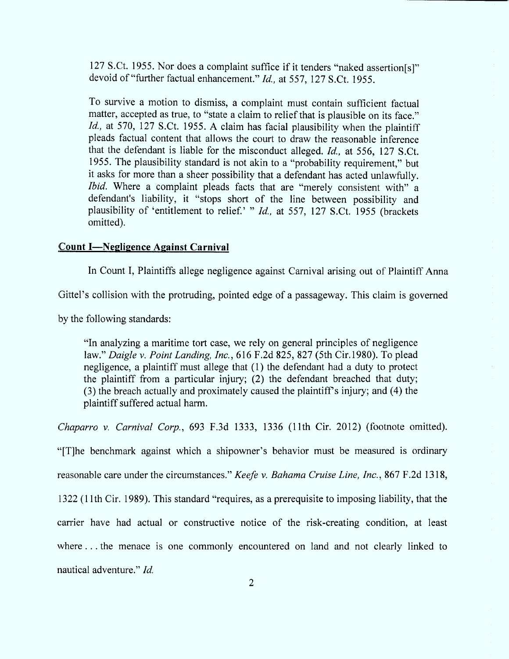127 S.Ct. 1955. Nor does a complaint suffice if it tenders "naked assertion[s]" devoid of "further factual enhancement." Id., at 557, 127 S.Ct. 1955.

To survive a motion to dismiss, a complaint must contain sufficient factual matter, accepted as true, to "state a claim to relief that is plausible on its face."  $Id.$ , at 570, 127 S.Ct. 1955. A claim has facial plausibility when the plaintiff pleads factual content that allows the court to draw the reasonable inference that the defendant is liable for the misconduct alleged.  $Id$ , at 556, 127 S.Ct. 1955. The plausibility standard is not akin to a "probability requirement," but it asks for more than a sheer possibility that a defendant has acted unlawfully. *Ibid.* Where a complaint pleads facts that are "merely consistent with" a defendant's liability, it "stops short of the line between possibility and plausibility of 'entitlement to relief.' "  $Id$ ., at 557, 127 S.Ct. 1955 (brackets omitted).

#### Count I-Negligence Against Carnival

In Count I, Plaintiffs allege negligence against Carnival arising out of Plaintiff Anna

Gittel's collision with the protruding, pointed edge of a passageway. This claim is governed

by the following standards:

"In analyzing a maritime tort case, we rely on general principles of negligence law.'' Daigle v. Point Landing, Inc., 616 F.2d 825, 827 (5th Cir. 1980). To plead negligence, a plaintiff must allege that (1) the defendant had a duty to protect the plaintiff from a particular injury; (2) the defendant breached that duty;  $(3)$  the breach actually and proximately caused the plaintiff's injury; and  $(4)$  the plaintiff suffered actual harm .

Chaparro v. Carnival Corp., 693 F.3d 1333, 1336 (11th Cir. 2012) (footnote omitted).

"[T]he benchmark against which a shipowner's behavior must be measured is ordinary reasonable care under the circumstances." Keefe v. Bahama Cruise Line, Inc., 867 F.2d 1318, 1322 (11th Cir. 1989). This standard "requires, as a prerequisite to imposing liability, that the carrier have had actual or constructive notice of the risk-creating condition, at least where ... the menace is one commonly encountered on land and not clearly linked to nautical adventure." *Id.*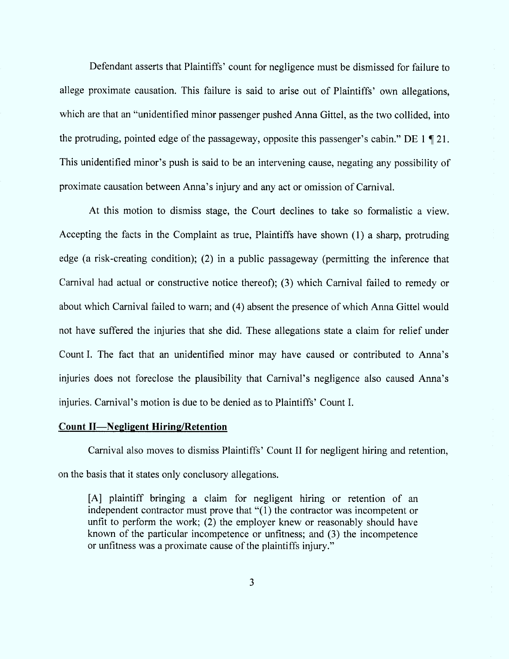Defendant asserts that Plaintiffs' count for negligence must be dismissed for failure to allege proximate causation. This failure is said to arise out of Plaintiffs' own allegations, which are that an "unidentified minor passenger pushed Anna Gittel, as the two collided, into the protruding, pointed edge of the passageway, opposite this passenger's cabin." DE  $1 \parallel 21$ . This unidentified minor's push is said to be an intervening cause, negating any possibility of proximate causation between Anna's injury and any act or omission of Carnival.

At this motion to dismiss stage, the Court declines to take so formalistic a view. Accepting the facts in the Complaint as true, Plaintiffs have shown (l) a sharp, protruding edge (a risk-creating condition);(2) in a public passageway (permitting the inference that Carnival had actual or constructive notice thereof); (3) which Carnival failed to remedy or about which Carnival failed to warn; and (4) absent the presence of which Anna Gittel would not have suffered the injuries that she did. These allegations state a claim for relief under Count I. The fact that an unidentified minor may have caused or contributed to Anna's injuries does not foreclose the plausibility that Carnival's negligence also caused Anna's injuries. Carnival's motion is due to be denied as to Plaintiffs' Count 1.

#### Count II—Negligent Hiring/Retention

Carnival also moves to dismiss Plaintiffs' Count II for negligent hiring and retention, on the basis that it states only conclusory allegations.

(Aj plaintiff bringing a claim for negligent hiring or retention of an independent contractor must prove that  $\cdot(1)$  the contractor was incompetent or unfit to perform the work; (2) the employer knew or reasonably should have known of the particular incompetence or unfitness; and  $(3)$  the incompetence or unfitness was a proximate cause of the plaintiffs injury.''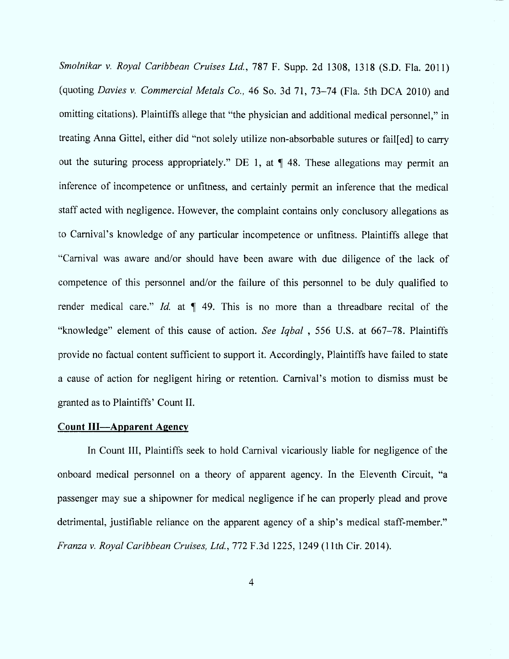Smolnikar v. Royal Caribbean Cruises Ltd., 787 F. Supp. 2d 1308, 1318 (S.D. Fla. 2011) (quoting Davies v. Commercial Metals Co., 46 So. 3d 71, 73-74 (Fla. 5th DCA 2010) and omitting citations). Plaintiffs allege that "the physician and additional medical personnel," in treating Anna Gittel, either did "not solely utilize non-absorbable sutures or fail[ed] to carry out the suturing process appropriately." DE 1, at  $\P$  48. These allegations may permit an inference of incompetence or unfitness, and certainly permit an inference that the medical staff acted with negligence. However, the complaint contains only conclusory allegations as to Carnival's knowledge of any particular incompetence or unfitness. Plaintiffs allege that "Carnival was aware and/or should have been aware with due diligence of the lack of competence of this personnel and/or the failure of this personnel to be duly qualified to render medical care." Id. at  $\P$  49. This is no more than a threadbare recital of the "knowledge" element of this cause of action. See Iqbal, 556 U.S. at 667–78. Plaintiffs provide no factual content sufficient to support it. Accordingly, Plaintiffs have failed to state a cause of action for negligent hiring or retention. Carnival's motion to dismiss must be granted as to Plaintiffs' Count 1l.

## Count III-Apparent Agency

In Count 111, Plaintiffs seek to hold Carnival vicariously liable for negligence of the onboard medical personnel on a theory of apparent agency. In the Eleventh Circuit, "a passenger may sue a shipowner for medical negligence if he can properly plead and prove detrimental, justifiable reliance on the apparent agency of a ship's medical staff-member.'' Franza v. Royal Caribbean Cruises, Ltd., 772 F.3d 1225, 1249 (11th Cir. 2014).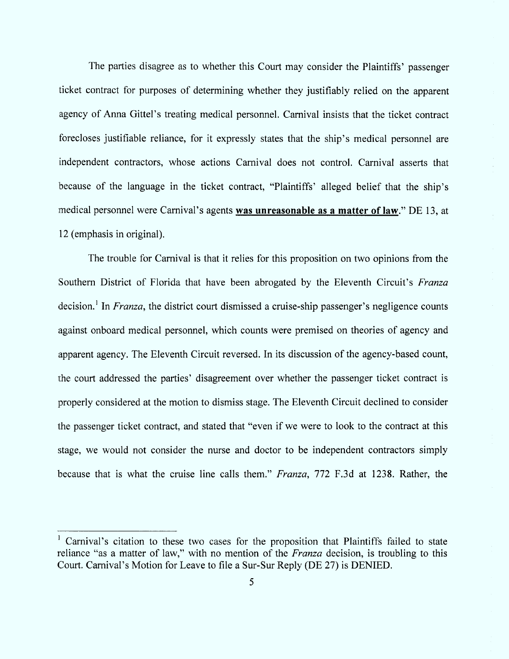The parties disagree as to whether this Court may consider the Plaintiffs' passenger ticket contract for purposes of determining whether they justifiably relied on the apparent agency of Anna Gittel's treating medical personnel. Carnival insists that the ticket contract forecloses justifiable reliance, for it expressly states that the ship's medical personnel are independent contractors, whose actions Carnival does not control. Carnival asserts that because of the language in the ticket contract, "Plaintiffs' alleged belief that the ship's medical personnel were Carnival's agents was unreasonable as a matter of law." DE 13, at 12 (emphasis in original).

The trouble for Carnival is that it relies for this proposition on two opinions from the Southern District of Florida that have been abrogated by the Eleventh Circuit's Franza decision.<sup>1</sup> In *Franza*, the district court dismissed a cruise-ship passenger's negligence counts against onboard medical personnel, which counts were premised on theories of agency and apparent agency, The Eleventh Circuit reversed. In its discussion of the agency-based count, the court addressed the parties' disagreement over whether the passenger ticket contract is properly considered at the motion to dismiss stage. The Eleventh Circuit declined to consider the passenger ticket contract, and stated that "even if we were to look to the contract at this stage, we would not consider the nurse and doctor to be independent contractors simply because that is what the cruise line calls them." Franza, 772 F.3d at 1238. Rather, the

Carnival's citation to these two cases for the proposition that Plaintiffs failed to state reliance "as a matter of law," with no mention of the *Franza* decision, is troubling to this Court. Carnival's Motion for Leave to file a Sur-sur Reply (DE 27) is DENIED.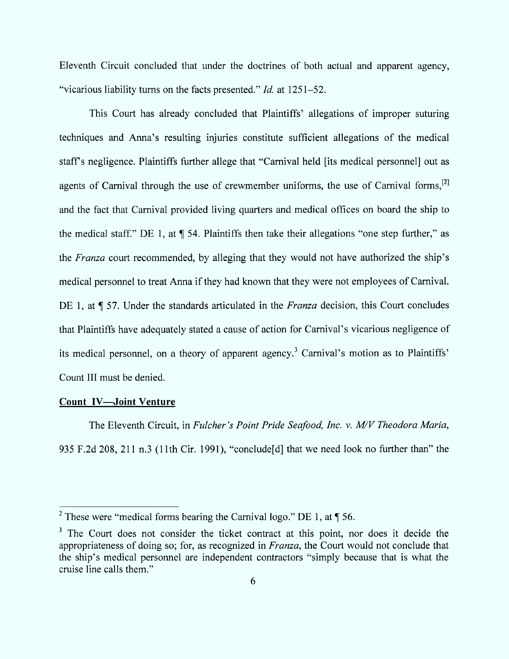Eleventh Circuit concluded that under the doctrines of both actual and apparent agency, "vicarious liability turns on the facts presented."  $Id$  at  $1251-52$ .

This Court has already concluded that Plaintiffs' allegations of improper suturing techniques and Anna's resulting injuries constitute sufticient allegations of the medical staff's negligence. Plaintiffs further allege that "Carnival held [its medical personnel] out as agents of Carnival through the use of crewmember uniforms, the use of Carnival forms.<sup>[2]</sup> and the fact that Carnival provided living quarters and medical offices on board the ship to the medical staff." DE 1, at  $\P$  54. Plaintiffs then take their allegations "one step further," as the *Franza* court recommended, by alleging that they would not have authorized the ship's medical personnel to treat Anna if they had known that they were not employees of Carnival. DE 1, at  $\P$  57. Under the standards articulated in the *Franza* decision, this Court concludes that Plaintiffs have adequately stated a cause of action for Carnival's vicarious negligence of its medical personnel, on a theory of apparent agency.<sup>3</sup> Carnival's motion as to Plaintiffs' Count 111 must be denied.

## Count IV-Joint Venture

The Eleventh Circuit, in Fulcher 's Point Pride Seafood, Inc. v. M/V Theodora Maria, 935 F.2d 208, 211 n.3 (11th Cir. 1991), "conclude<sup>[d]</sup> that we need look no further than" the

<sup>&</sup>lt;sup>2</sup> These were "medical forms bearing the Carnival logo." DE 1, at  $\P$  56.

 $3$  The Court does not consider the ticket contract at this point, nor does it decide the appropriateness of doing so; for, as recognized in Franza, the Court would not conclude that the ship's medical personnel are independent contractors "simply because that is what the cruise line calls them .''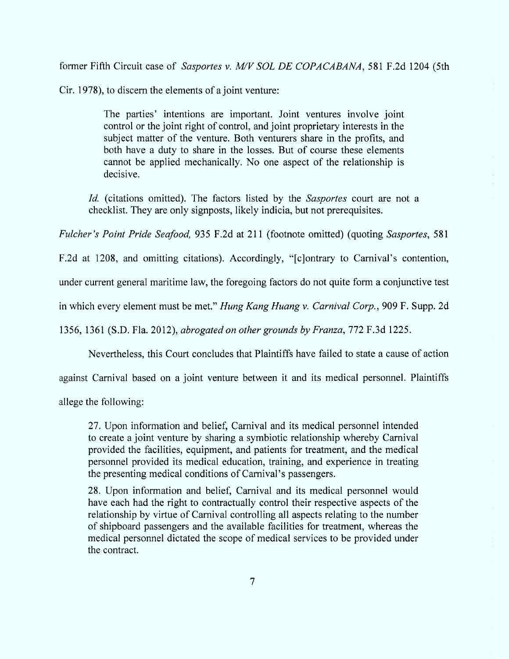former Fifth Circuit case of Sasportes v. M/V SOL DE COPACABANA, 581 F.2d 1204 (5th

Cir. 1978), to discern the elements of a joint venture:

The parties' intentions are important. Joint ventures involve joint control or the joint right of control, and joint proprietary interests in the subject matter of the venture. Both venturers share in the profits, and both have a duty to share in the losses. But of course these elements cannot be applied mechanically. No one aspect of the relationship is decisive.

Id. (citations omitted). The factors listed by the Sasportes court are not a checklist. They are only signposts, likely indicia, but not prerequisites.

Fulcher's Point Pride Seafood, 935 F.2d at 211 (footnote omitted) (quoting Sasportes, 581

F.2d at 1208, and omitting citations). Accordingly, "[c]ontrary to Carnival's contention,

under current general maritime law, the foregoing factors do not quite form a conjunctive test

in which every element must be met." Hung Kang Huang v. Carnival Corp., 909 F. Supp. 2d

1356, 1361 (S.D. Fla. 2012), abrogated on other grounds by Franza, 772 F.3d 1225.

Nevertheless, this Court concludes that Plaintiffs have failed to state a cause of action

against Carnival based on a joint venture between it and its medical personnel. Plaintiffs

allege the following:

27. Upon information and belief, Carnival and its medical personnel intended to create a joint venture by sharing a symbiotic relationship whereby Carnival provided the facilities, equipment, and patients for treatment, and the medical personnel provided its medical education, training, and experience in treating the presenting medical conditions of Carnival's passengers.

28. Upon information and belief, Carnival and its medical personnel would have each had the right to contractually control their respective aspects of the relationship by virtue of Carnival controlling all aspects relating to the number of shipboard passengers and the available facilities for treatment, whereas the medical personnel dictated the scope of medical services to be provided under the contract.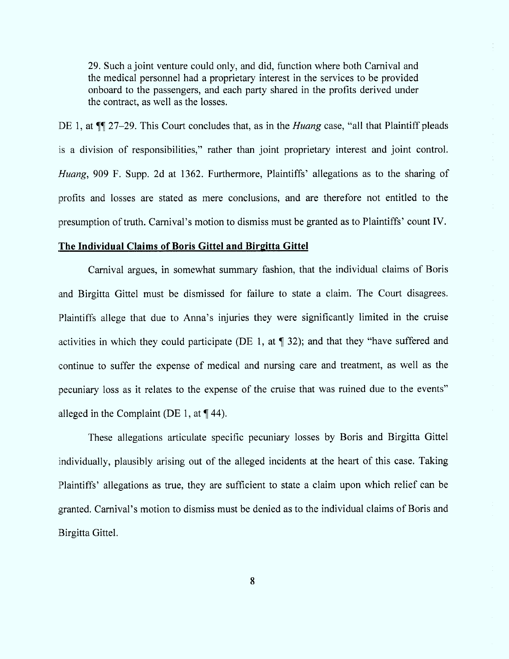29. Such a joint venture could only, and did, function where both Carnival and the medical personnel had a proprietary interest in the services to be provided onboard to the passengers, and each party shared in the profits derived under the contract, as well as the losses.

DE 1, at  $\P$  27-29. This Court concludes that, as in the *Huang* case, "all that Plaintiff pleads is a division of responsibilities," rather than joint proprietary interest and joint control. Huang, 909 F. Supp. 2d at 1362. Furthermore, Plaintiffs' allegations as to the sharing of profits and losses are stated as mere conclusions, and are therefore not entitled to the presumption of truth. Carnival's motion to dismiss must be granted as to Plaintiffs' count IV.

## The Individual Claims of Boris Gittel and Birgitta Gittel

Carnival argues, in somewhat summary fashion, that the individual claims of Boris and Birgitta Gittel must be dismissed for failure to state a claim. The Court disagrees. Plaintiffs allege that due to Anna's injuries they were significantly limited in the cruise activities in which they could participate (DE 1, at  $\P$  32); and that they "have suffered and continue to suffer the expense of medical and nursing care and treatment, as well as the pecuniary loss as it relates to the expense of the cruise that was ruined due to the events'' alleged in the Complaint (DE 1, at  $\P$  44).

These allegations articulate specific pecuniary losses by Boris and Birgitta Gittel individually, plausibly arising out of the alleged incidents at the heart of this case. Taking Plaintiffs' allegations as true, they are sufficient to state a claim upon which relief can be granted. Carnival's motion to dismiss must be denied as to the individual claims of Boris and Birgitta Gittel.